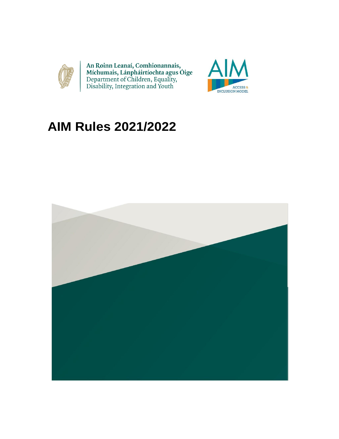

An Roinn Leanaí, Comhionannais,<br>Míchumais, Lánpháirtíochta agus Óige<br>Department of Children, Equality,<br>Disability, Integration and Youth



# **AIM Rules 2021/2022**

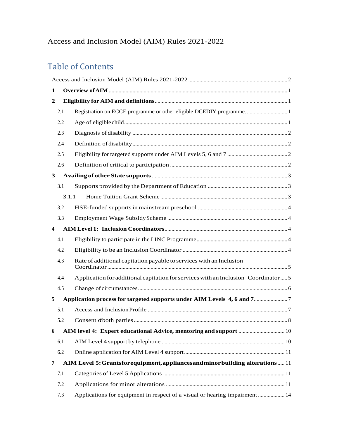# <span id="page-1-0"></span>Table of Contents

| 1                       |       |                                                                                    |  |
|-------------------------|-------|------------------------------------------------------------------------------------|--|
| 2                       |       |                                                                                    |  |
|                         | 2.1   |                                                                                    |  |
|                         | 2.2   |                                                                                    |  |
|                         | 2.3   |                                                                                    |  |
|                         | 2.4   |                                                                                    |  |
|                         | 2.5   |                                                                                    |  |
|                         | 2.6   |                                                                                    |  |
| $\mathbf{3}$            |       |                                                                                    |  |
|                         | 3.1   |                                                                                    |  |
|                         | 3.1.1 |                                                                                    |  |
|                         | 3.2   |                                                                                    |  |
|                         | 3.3   |                                                                                    |  |
| $\overline{\mathbf{4}}$ |       |                                                                                    |  |
|                         | 4.1   |                                                                                    |  |
|                         | 4.2   |                                                                                    |  |
|                         | 4.3   | Rate of additional capitation payable to services with an Inclusion                |  |
|                         | 4.4   | Application for additional capitation for services with an Inclusion Coordinator 5 |  |
|                         | 4.5   |                                                                                    |  |
| 5                       |       |                                                                                    |  |
|                         | 5.1   |                                                                                    |  |
|                         | 5.2   |                                                                                    |  |
| 6                       |       |                                                                                    |  |
|                         | 6.1   |                                                                                    |  |
|                         | 6.2   |                                                                                    |  |
| 7                       |       | AIM Level 5: Grantsforequipment, appliances and minor building alterations  11     |  |
|                         | 7.1   |                                                                                    |  |
|                         | 7.2   |                                                                                    |  |
|                         | 7.3   | Applications for equipment in respect of a visual or hearing impairment  14        |  |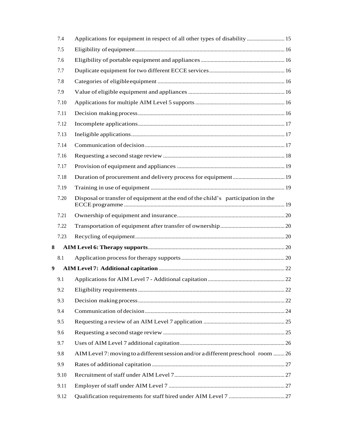|   | 7.4  | Applications for equipment in respect of all other types of disability  15       |  |
|---|------|----------------------------------------------------------------------------------|--|
|   | 7.5  |                                                                                  |  |
|   | 7.6  |                                                                                  |  |
|   | 7.7  |                                                                                  |  |
|   | 7.8  |                                                                                  |  |
|   | 7.9  |                                                                                  |  |
|   | 7.10 |                                                                                  |  |
|   | 7.11 |                                                                                  |  |
|   | 7.12 |                                                                                  |  |
|   | 7.13 |                                                                                  |  |
|   | 7.14 |                                                                                  |  |
|   | 7.16 |                                                                                  |  |
|   | 7.17 |                                                                                  |  |
|   | 7.18 |                                                                                  |  |
|   | 7.19 |                                                                                  |  |
|   | 7.20 | Disposal or transfer of equipment at the end of the child's participation in the |  |
|   | 7.21 |                                                                                  |  |
|   | 7.22 |                                                                                  |  |
|   | 7.23 |                                                                                  |  |
| 8 |      |                                                                                  |  |
|   | 8.1  |                                                                                  |  |
| 9 |      |                                                                                  |  |
|   | 9.1  |                                                                                  |  |
|   | 9.2  |                                                                                  |  |
|   | 9.3  |                                                                                  |  |
|   | 9.4  |                                                                                  |  |
|   | 9.5  |                                                                                  |  |
|   | 9.6  |                                                                                  |  |
|   | 9.7  |                                                                                  |  |
|   | 9.8  | AIM Level 7: moving to a different session and/or a different preschool room  26 |  |
|   | 9.9  |                                                                                  |  |
|   | 9.10 |                                                                                  |  |
|   | 9.11 |                                                                                  |  |
|   | 9.12 |                                                                                  |  |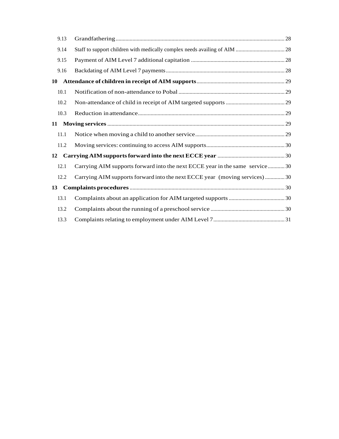|                                                                                  | 9.13 |                                                                             |  |  |  |
|----------------------------------------------------------------------------------|------|-----------------------------------------------------------------------------|--|--|--|
|                                                                                  | 9.14 |                                                                             |  |  |  |
|                                                                                  | 9.15 |                                                                             |  |  |  |
|                                                                                  | 9.16 |                                                                             |  |  |  |
| 10                                                                               |      |                                                                             |  |  |  |
|                                                                                  | 10.1 |                                                                             |  |  |  |
|                                                                                  | 10.2 |                                                                             |  |  |  |
|                                                                                  | 10.3 |                                                                             |  |  |  |
| 11                                                                               |      |                                                                             |  |  |  |
|                                                                                  | 11.1 |                                                                             |  |  |  |
|                                                                                  | 11.2 |                                                                             |  |  |  |
| 12                                                                               |      |                                                                             |  |  |  |
|                                                                                  | 12.1 | Carrying AIM supports forward into the next ECCE year in the same service30 |  |  |  |
|                                                                                  | 12.2 | Carrying AIM supports forward into the next ECCE year (moving services) 30  |  |  |  |
| $Complaints procedures       30   30   31  32  33  34  35  36  38  39  30$<br>13 |      |                                                                             |  |  |  |
|                                                                                  | 13.1 |                                                                             |  |  |  |
|                                                                                  | 13.2 |                                                                             |  |  |  |
|                                                                                  | 13.3 |                                                                             |  |  |  |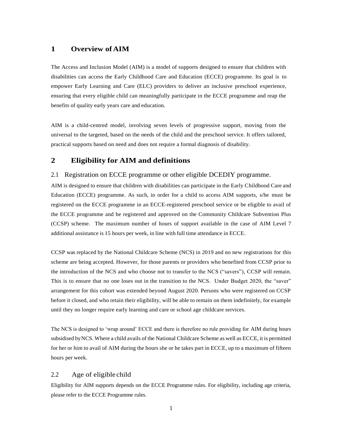# <span id="page-4-0"></span>**1 Overview of AIM**

The Access and Inclusion Model (AIM) is a model of supports designed to ensure that children with disabilities can access the Early Childhood Care and Education (ECCE) programme. Its goal is to empower Early Learning and Care (ELC) providers to deliver an inclusive preschool experience, ensuring that every eligible child can meaningfully participate in the ECCE programme and reap the benefits of quality early years care and education.

AIM is a child-centred model, involving seven levels of progressive support, moving from the universal to the targeted, based on the needs of the child and the preschool service. It offers tailored, practical supports based on need and does not require a formal diagnosis of disability.

### <span id="page-4-1"></span>**2 Eligibility for AIM and definitions**

#### <span id="page-4-2"></span>2.1 Registration on ECCE programme or other eligible DCEDIY programme.

AIM is designed to ensure that children with disabilities can participate in the Early Childhood Care and Education (ECCE) programme. As such, in order for a child to access AIM supports, s/he must be registered on the ECCE programme in an ECCE-registered preschool service or be eligible to avail of the ECCE programme and be registered and approved on the Community Childcare Subvention Plus (CCSP) scheme. The maximum number of hours of support available in the case of AIM Level 7 additional assistance is 15 hours per week, in line with full time attendance in ECCE.

CCSP was replaced by the National Childcare Scheme (NCS) in 2019 and no new registrations for this scheme are being accepted. However, for those parents or providers who benefited from CCSP prior to the introduction of the NCS and who choose not to transfer to the NCS ("savers"), CCSP will remain. This is to ensure that no one loses out in the transition to the NCS. Under Budget 2020, the "saver" arrangement for this cohort was extended beyond August 2020. Persons who were registered on CCSP before it closed, and who retain their eligibility, will be able to remain on them indefinitely, for example until they no longer require early learning and care or school age childcare services.

The NCS is designed to 'wrap around' ECCE and there is therefore no rule providing for AIM during hours subsidised byNCS. Where a child avails of the National Childcare Scheme as well as ECCE, it is permitted for her or him to avail of AIM during the hours she or he takes part in ECCE, up to a maximum of fifteen hours per week.

## <span id="page-4-3"></span>2.2 Age of eligible child

Eligibility for AIM supports depends on the ECCE Programme rules. For eligibility, including age criteria, please refer to the ECCE Programme rules.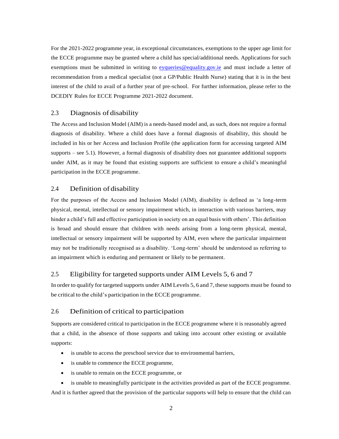For the 2021-2022 programme year, in exceptional circumstances, exemptions to the upper age limit for the ECCE programme may be granted where a child has special/additional needs. Applications for such exemptions must be submitted in writing to [eyqueries@equality.gov.ie](mailto:eyqueries@equality.gov.ie) and must include a letter of recommendation from a medical specialist (not a GP/Public Health Nurse) stating that it is in the best interest of the child to avail of a further year of pre-school. For further information, please refer to the DCEDIY Rules for ECCE Programme 2021-2022 document.

# <span id="page-5-0"></span>2.3 Diagnosis of disability

The Access and Inclusion Model (AIM) is a needs-based model and, as such, does not require a formal diagnosis of disability. Where a child does have a formal diagnosis of disability, this should be included in his or her Access and Inclusion Profile (the application form for accessing targeted AIM supports – see 5.1). However, a formal diagnosis of disability does not guarantee additional supports under AIM, as it may be found that existing supports are sufficient to ensure a child's meaningful participation in the ECCE programme.

# <span id="page-5-1"></span>2.4 Definition of disability

For the purposes of the Access and Inclusion Model (AIM), disability is defined as 'a long-term physical, mental, intellectual or sensory impairment which, in interaction with various barriers, may hinder a child's full and effective participation in society on an equal basis with others'. This definition is broad and should ensure that children with needs arising from a long-term physical, mental, intellectual or sensory impairment will be supported by AIM, even where the particular impairment may not be traditionally recognised as a disability. 'Long-term' should be understood as referring to an impairment which is enduring and permanent or likely to be permanent.

# <span id="page-5-2"></span>2.5 Eligibility for targeted supports under AIM Levels 5, 6 and 7

In order to qualify for targeted supports under AIM Levels 5, 6 and 7, these supports must be found to be critical to the child's participation in the ECCE programme.

### <span id="page-5-3"></span>2.6 Definition of critical to participation

Supports are considered critical to participation in the ECCE programme where it is reasonably agreed that a child, in the absence of those supports and taking into account other existing or available supports:

- is unable to access the preschool service due to environmental barriers,
- is unable to commence the ECCE programme,
- is unable to remain on the ECCE programme, or
- is unable to meaningfully participate in the activities provided as part of the ECCE programme.

And it is further agreed that the provision of the particular supports will help to ensure that the child can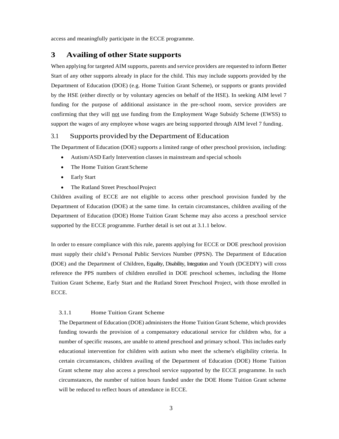access and meaningfully participate in the ECCE programme.

# <span id="page-6-0"></span>**3 Availing of other State supports**

When applying for targeted AIM supports, parents and service providers are requested to inform Better Start of any other supports already in place for the child. This may include supports provided by the Department of Education (DOE) (e.g. Home Tuition Grant Scheme), or supports or grants provided by the HSE (either directly or by voluntary agencies on behalf of the HSE). In seeking AIM level 7 funding for the purpose of additional assistance in the pre-school room, service providers are confirming that they will not use funding from the Employment Wage Subsidy Scheme (EWSS) to support the wages of any employee whose wages are being supported through AIM level 7 funding.

#### <span id="page-6-1"></span>3.1 Supports provided by the Department of Education

The Department of Education (DOE) supports a limited range of other preschool provision, including:

- Autism/ASD Early Intervention classes in mainstream and special schools
- The Home Tuition Grant Scheme
- Early Start
- The Rutland Street Preschool Project

Children availing of ECCE are not eligible to access other preschool provision funded by the Department of Education (DOE) at the same time. In certain circumstances, children availing of the Department of Education (DOE) Home Tuition Grant Scheme may also access a preschool service supported by the ECCE programme. Further detail is set out at 3.1.1 below.

In order to ensure compliance with this rule, parents applying for ECCE or DOE preschool provision must supply their child's Personal Public Services Number (PPSN). The Department of Education (DOE) and the Department of Children, Equality, Disability, Integration and Youth (DCEDIY) will cross reference the PPS numbers of children enrolled in DOE preschool schemes, including the Home Tuition Grant Scheme, Early Start and the Rutland Street Preschool Project, with those enrolled in ECCE.

#### <span id="page-6-2"></span>3.1.1 Home Tuition Grant Scheme

The Department of Education (DOE) administers the Home Tuition Grant Scheme, which provides funding towards the provision of a compensatory educational service for children who, for a number of specific reasons, are unable to attend preschool and primary school. This includes early educational intervention for children with autism who meet the scheme's eligibility criteria. In certain circumstances, children availing of the Department of Education (DOE) Home Tuition Grant scheme may also access a preschool service supported by the ECCE programme. In such circumstances, the number of tuition hours funded under the DOE Home Tuition Grant scheme will be reduced to reflect hours of attendance in ECCE.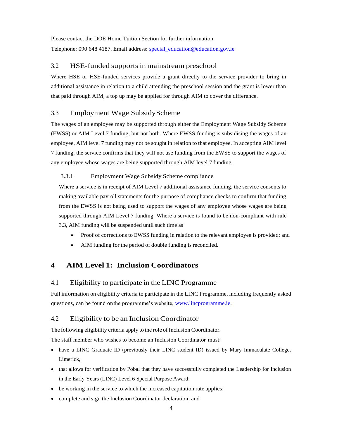Please contact the DOE Home Tuition Section for further information. Telephone: 090 648 4187. Email address: [special\\_education@education.gov.ie](mailto:special_education@education.gov.ie)

# <span id="page-7-0"></span>3.2 HSE-funded supports in mainstream preschool

Where HSE or HSE-funded services provide a grant directly to the service provider to bring in additional assistance in relation to a child attending the preschool session and the grant is lower than that paid through AIM, a top up may be applied for through AIM to cover the difference.

# <span id="page-7-1"></span>3.3 Employment Wage SubsidyScheme

The wages of an employee may be supported through either the Employment Wage Subsidy Scheme (EWSS) or AIM Level 7 funding, but not both. Where EWSS funding is subsidising the wages of an employee, AIM level 7 funding may not be sought in relation to that employee. In accepting AIM level 7 funding, the service confirms that they will not use funding from the EWSS to support the wages of any employee whose wages are being supported through AIM level 7 funding.

### 3.3.1 Employment Wage Subsidy Scheme compliance

Where a service is in receipt of AIM Level 7 additional assistance funding, the service consents to making available payroll statements for the purpose of compliance checks to confirm that funding from the EWSS is not being used to support the wages of any employee whose wages are being supported through AIM Level 7 funding. Where a service is found to be non-compliant with rule 3.3, AIM funding will be suspended until such time as

- Proof of corrections to EWSS funding in relation to the relevant employee is provided; and
- AIM funding for the period of double funding is reconciled.

# <span id="page-7-2"></span>**4 AIM Level 1: Inclusion Coordinators**

# <span id="page-7-3"></span>4.1 Eligibility to participate in the LINC Programme

Full information on eligibility criteria to participate in the LINC Programme, including frequently asked questions, can be found on the programme's website, [www.lincprogramme.ie.](http://www.lincprogramme.ie/)

# <span id="page-7-4"></span>4.2 Eligibility to be an InclusionCoordinator

The following eligibility criteria apply to the role of Inclusion Coordinator.

The staff member who wishes to become an Inclusion Coordinator must:

- have a LINC Graduate ID (previously their LINC student ID) issued by Mary Immaculate College, Limerick,
- that allows for verification by Pobal that they have successfully completed the Leadership for Inclusion in the Early Years (LINC) Level 6 Special Purpose Award;
- be working in the service to which the increased capitation rate applies;
- complete and sign the Inclusion Coordinator declaration; and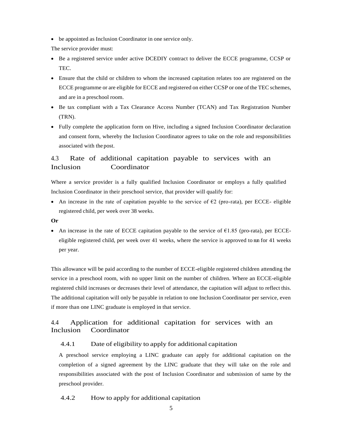be appointed as Inclusion Coordinator in one service only.

The service provider must:

- Be a registered service under active DCEDIY contract to deliver the ECCE programme, CCSP or TEC.
- Ensure that the child or children to whom the increased capitation relates too are registered on the ECCE programme or are eligible for ECCE and registered on either CCSP or one of the TEC schemes, and are in a preschool room.
- Be tax compliant with a Tax Clearance Access Number (TCAN) and Tax Registration Number (TRN).
- Fully complete the application form on Hive, including a signed Inclusion Coordinator declaration and consent form, whereby the Inclusion Coordinator agrees to take on the role and responsibilities associated with the post.

# <span id="page-8-0"></span>4.3 Rate of additional capitation payable to services with an Inclusion Coordinator

Where a service provider is a fully qualified Inclusion Coordinator or employs a fully qualified Inclusion Coordinator in their preschool service, that provider will qualify for:

• An increase in the rate of capitation payable to the service of  $\epsilon$ 2 (pro-rata), per ECCE- eligible registered child, per week over 38 weeks.

### **Or**

An increase in the rate of ECCE capitation payable to the service of  $\epsilon$ 1.85 (pro-rata), per ECCEeligible registered child, per week over 41 weeks, where the service is approved to nn for 41 weeks per year.

This allowance will be paid according to the number of ECCE-eligible registered children attending the service in a preschool room, with no upper limit on the number of children. Where an ECCE-eligible registered child increases or decreases their level of attendance, the capitation will adjust to reflect this. The additional capitation will only be payable in relation to one Inclusion Coordinator per service, even if more than one LINC graduate is employed in that service.

# <span id="page-8-1"></span>4.4 Application for additional capitation for services with an Inclusion Coordinator

# 4.4.1 Date of eligibility to apply for additional capitation

A preschool service employing a LINC graduate can apply for additional capitation on the completion of a signed agreement by the LINC graduate that they will take on the role and responsibilities associated with the post of Inclusion Coordinator and submission of same by the preschool provider.

4.4.2 How to apply for additional capitation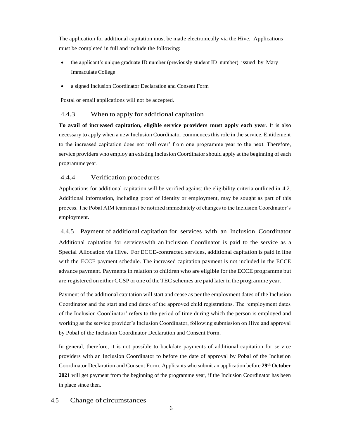The application for additional capitation must be made electronically via the Hive. Applications must be completed in full and include the following:

- the applicant's unique graduate ID number (previously student ID number) issued by Mary Immaculate College
- a signed Inclusion Coordinator Declaration and Consent Form

Postal or email applications will not be accepted.

# 4.4.3 When to apply for additional capitation

**To avail of increased capitation, eligible service providers must apply each year**. It is also necessary to apply when a new Inclusion Coordinator commences this role in the service. Entitlement to the increased capitation does not 'roll over' from one programme year to the next. Therefore, service providers who employ an existing Inclusion Coordinatorshould apply at the beginning of each programme year.

# 4.4.4 Verification procedures

Applications for additional capitation will be verified against the eligibility criteria outlined in 4.2. Additional information, including proof of identity or employment, may be sought as part of this process. The Pobal AIM team must be notified immediately of changes to the Inclusion Coordinator's employment.

4.4.5 Payment of additional capitation for services with an Inclusion Coordinator Additional capitation for serviceswith an Inclusion Coordinator is paid to the service as a Special Allocation via Hive. For ECCE-contracted services, additional capitation is paid in line with the ECCE payment schedule. The increased capitation payment is not included in the ECCE advance payment. Payments in relation to children who are eligible for the ECCE programme but are registered on either CCSP or one of the TEC schemes are paid later in the programme year.

Payment of the additional capitation will start and cease as per the employment dates of the Inclusion Coordinator and the start and end dates of the approved child registrations. The 'employment dates of the Inclusion Coordinator' refers to the period of time during which the person is employed and working as the service provider's Inclusion Coordinator, following submission on Hive and approval by Pobal of the Inclusion Coordinator Declaration and Consent Form.

In general, therefore, it is not possible to backdate payments of additional capitation for service providers with an Inclusion Coordinator to before the date of approval by Pobal of the Inclusion Coordinator Declaration and Consent Form. Applicants who submit an application before **29th October 2021** will get payment from the beginning of the programme year, if the Inclusion Coordinator has been in place since then.

# <span id="page-9-0"></span>4.5 Change of circumstances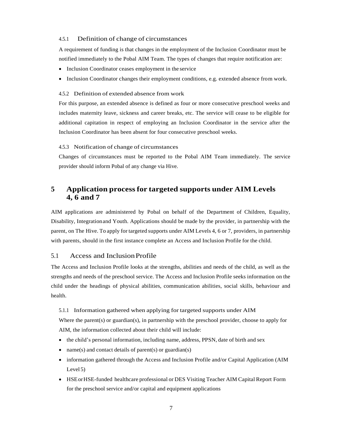#### 4.5.1 Definition of change of circumstances

A requirement of funding is that changes in the employment of the Inclusion Coordinator must be notified immediately to the Pobal AIM Team. The types of changes that require notification are:

- Inclusion Coordinator ceases employment in the service
- Inclusion Coordinator changes their employment conditions, e.g. extended absence from work.

#### 4.5.2 Definition of extended absence from work

For this purpose, an extended absence is defined as four or more consecutive preschool weeks and includes maternity leave, sickness and career breaks, etc. The service will cease to be eligible for additional capitation in respect of employing an Inclusion Coordinator in the service after the Inclusion Coordinator has been absent for four consecutive preschool weeks.

#### 4.5.3 Notification of change of circumstances

Changes of circumstances must be reported to the Pobal AIM Team immediately. The service provider should inform Pobal of any change via Hive.

# <span id="page-10-0"></span>**5 Application processfor targeted supports under AIM Levels 4, 6 and 7**

AIM applications are administered by Pobal on behalf of the Department of Children, Equality, Disability, Integrationand Youth. Applications should be made by the provider, in partnership with the parent, on The Hive. To apply for targeted supports under AIM Levels 4, 6 or 7, providers, in partnership with parents, should in the first instance complete an Access and Inclusion Profile for the child.

### <span id="page-10-1"></span>5.1 Access and InclusionProfile

The Access and Inclusion Profile looks at the strengths, abilities and needs of the child, as well as the strengths and needs of the preschool service. The Access and Inclusion Profile seeks information on the child under the headings of physical abilities, communication abilities, social skills, behaviour and health.

#### 5.1.1 Information gathered when applying for targeted supports under AIM

Where the parent(s) or guardian(s), in partnership with the preschool provider, choose to apply for AIM, the information collected about their child will include:

- the child's personal information, including name, address, PPSN, date of birth and sex
- name(s) and contact details of parent(s) or guardian(s)
- information gathered through the Access and Inclusion Profile and/or Capital Application (AIM Level 5)
- HSEorHSE-funded healthcare professional or DES Visiting Teacher AIM Capital Report Form for the preschool service and/or capital and equipment applications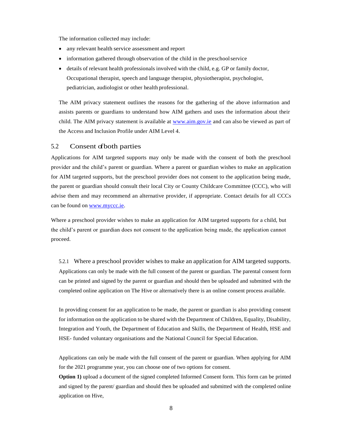The information collected may include:

- any relevant health service assessment and report
- information gathered through observation of the child in the preschoolservice
- details of relevant health professionals involved with the child, e.g. GP or family doctor, Occupational therapist, speech and language therapist, physiotherapist, psychologist, pediatrician, audiologist or other health professional.

The AIM privacy statement outlines the reasons for the gathering of the above information and assists parents or guardians to understand how AIM gathers and uses the information about their child. The AIM privacy statement is available at [www.aim.gov.ie](http://www.aim.gov.ie/) and can also be viewed as part of the Access and Inclusion Profile under AIM Level 4.

### <span id="page-11-0"></span>5.2 Consent of both parties

Applications for AIM targeted supports may only be made with the consent of both the preschool provider and the child's parent or guardian. Where a parent or guardian wishes to make an application for AIM targeted supports, but the preschool provider does not consent to the application being made, the parent or guardian should consult their local City or County Childcare Committee (CCC), who will advise them and may recommend an alternative provider, if appropriate. Contact details for all CCCs can be found on [www.myccc.ie.](http://www.myccc.ie/)

Where a preschool provider wishes to make an application for AIM targeted supports for a child, but the child's parent or guardian does not consent to the application being made, the application cannot proceed.

5.2.1 Where a preschool provider wishes to make an application for AIM targeted supports. Applications can only be made with the full consent of the parent or guardian. The parental consent form can be printed and signed by the parent or guardian and should then be uploaded and submitted with the completed online application on The Hive or alternatively there is an online consent process available.

In providing consent for an application to be made, the parent or guardian is also providing consent for information on the application to be shared with the Department of Children, Equality, Disability, Integration and Youth, the Department of Education and Skills, the Department of Health, HSE and HSE- funded voluntary organisations and the National Council for Special Education.

Applications can only be made with the full consent of the parent or guardian. When applying for AIM for the 2021 programme year, you can choose one of two options for consent.

**Option 1)** upload a document of the signed completed Informed Consent form. This form can be printed and signed by the parent/ guardian and should then be uploaded and submitted with the completed online application on Hive,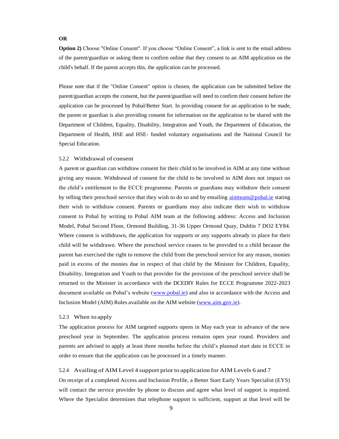#### **OR**

**Option 2)** Choose "Online Consent". If you choose "Online Consent", a link is sent to the email address of the parent/guardian or asking them to confirm online that they consent to an AIM application on the child's behalf. If the parent accepts this, the application can be processed.

Please note that if the "Online Consent" option is chosen, the application can be submitted before the parent/guardian accepts the consent, but the parent/guardian will need to confirm their consent before the application can be processed by Pobal/Better Start. In providing consent for an application to be made, the parent or guardian is also providing consent for information on the application to be shared with the Department of Children, Equality, Disability, Integration and Youth, the Department of Education, the Department of Health, HSE and HSE- funded voluntary organisations and the National Council for Special Education.

### 5.2.2 Withdrawal of consent

A parent or guardian can withdraw consent for their child to be involved in AIM at any time without giving any reason. Withdrawal of consent for the child to be involved in AIM does not impact on the child's entitlement to the ECCE programme. Parents or guardians may withdraw their consent by telling their preschool service that they wish to do so and by emailing [aimteam@pobal.ie](mailto:aimteam@pobal.ie) stating their wish to withdraw consent. Parents or guardians may also indicate their wish to withdraw consent to Pobal by writing to Pobal AIM team at the following address: Access and Inclusion Model, Pobal Second Floor, Ormond Building, 31-36 Upper Ormond Quay, Dublin 7 DO2 EY84. Where consent is withdrawn, the application for supports or any supports already in place for their child will be withdrawn. Where the preschool service ceases to be provided to a child because the parent has exercised the right to remove the child from the preschool service for any reason, monies paid in excess of the monies due in respect of that child by the Minister for Children, Equality, Disability, Integration and Youth to that provider for the provision of the preschool service shall be returned to the Minister in accordance with the DCEDIY Rules for ECCE Programme 2022-2023 document available on Pobal's website (www.pobal.ie) and also in accordance with the Access and Inclusion Model (AIM) Rules available on the AIM website (www.aim.gov.ie).

#### 5.2.3 When to apply

The application process for AIM targeted supports opens in May each year in advance of the new preschool year in September. The application process remains open year round. Providers and parents are advised to apply at least three months before the child's planned start date in ECCE in order to ensure that the application can be processed in a timely manner.

#### 5.2.4 Availing of AIM Level 4 support prior to application for AIM Levels 6 and 7

On receipt of a completed Access and Inclusion Profile, a Better Start Early Years Specialist (EYS) will contact the service provider by phone to discuss and agree what level of support is required. Where the Specialist determines that telephone support is sufficient, support at that level will be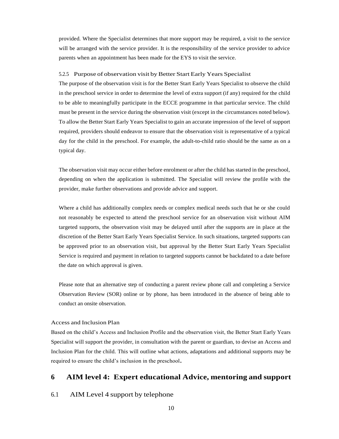provided. Where the Specialist determines that more support may be required, a visit to the service will be arranged with the service provider. It is the responsibility of the service provider to advice parents when an appointment has been made for the EYS to visit the service.

#### 5.2.5 Purpose of observation visit by Better Start Early Years Specialist

The purpose of the observation visit is for the Better Start Early Years Specialist to observe the child in the preschool service in order to determine the level of extra support (if any) required for the child to be able to meaningfully participate in the ECCE programme in that particular service. The child must be present in the service during the observation visit (except in the circumstances noted below). To allow the Better Start Early Years Specialist to gain an accurate impression of the level of support required, providers should endeavor to ensure that the observation visit is representative of a typical day for the child in the preschool. For example, the adult-to-child ratio should be the same as on a typical day.

The observation visit may occur either before enrolment or after the child has started in the preschool, depending on when the application is submitted. The Specialist will review the profile with the provider, make further observations and provide advice and support.

Where a child has additionally complex needs or complex medical needs such that he or she could not reasonably be expected to attend the preschool service for an observation visit without AIM targeted supports, the observation visit may be delayed until after the supports are in place at the discretion of the Better Start Early Years Specialist Service. In such situations, targeted supports can be approved prior to an observation visit, but approval by the Better Start Early Years Specialist Service is required and payment in relation to targeted supports cannot be backdated to a date before the date on which approval is given.

Please note that an alternative step of conducting a parent review phone call and completing a Service Observation Review (SOR) online or by phone, has been introduced in the absence of being able to conduct an onsite observation.

### Access and Inclusion Plan

Based on the child's Access and Inclusion Profile and the observation visit, the Better Start Early Years Specialist will support the provider, in consultation with the parent or guardian, to devise an Access and Inclusion Plan for the child. This will outline what actions, adaptations and additional supports may be required to ensure the child's inclusion in the preschool**.** 

# <span id="page-13-0"></span>**6 AIM level 4: Expert educational Advice, mentoring and support**

# <span id="page-13-1"></span>6.1 AIM Level 4 support by telephone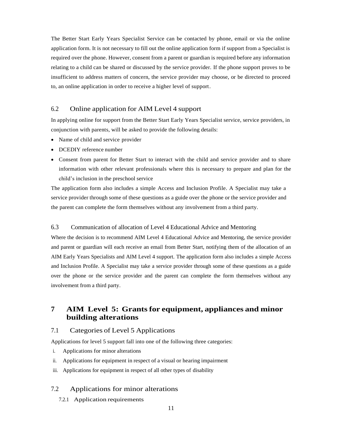The Better Start Early Years Specialist Service can be contacted by phone, email or via the online application form. It is not necessary to fill out the online application form if support from a Specialist is required over the phone. However, consent from a parent or guardian is required before any information relating to a child can be shared or discussed by the service provider. If the phone support proves to be insufficient to address matters of concern, the service provider may choose, or be directed to proceed to, an online application in order to receive a higher level of support.

# <span id="page-14-0"></span>6.2 Online application for AIM Level 4 support

In applying online for support from the Better Start Early Years Specialist service, service providers, in conjunction with parents, will be asked to provide the following details:

- Name of child and service provider
- DCEDIY reference number
- Consent from parent for Better Start to interact with the child and service provider and to share information with other relevant professionals where this is necessary to prepare and plan for the child's inclusion in the preschool service

The application form also includes a simple Access and Inclusion Profile. A Specialist may take a service provider through some of these questions as a guide over the phone or the service provider and the parent can complete the form themselves without any involvement from a third party.

# 6.3 Communication of allocation of Level 4 Educational Advice and Mentoring

Where the decision is to recommend AIM Level 4 Educational Advice and Mentoring, the service provider and parent or guardian will each receive an email from Better Start, notifying them of the allocation of an AIM Early Years Specialists and AIM Level 4 support. The application form also includes a simple Access and Inclusion Profile. A Specialist may take a service provider through some of these questions as a guide over the phone or the service provider and the parent can complete the form themselves without any involvement from a third party.

# <span id="page-14-1"></span>**7 AIM Level 5: Grantsfor equipment, appliances and minor building alterations**

# <span id="page-14-2"></span>7.1 Categories of Level 5 Applications

Applications for level 5 support fall into one of the following three categories:

- i. Applications for minor alterations
- ii. Applications for equipment in respect of a visual or hearing impairment
- iii. Applications for equipment in respect of all other types of disability

# <span id="page-14-3"></span>7.2 Applications for minor alterations

7.2.1 Application requirements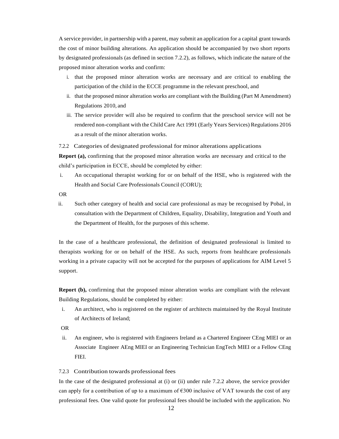A service provider, in partnership with a parent, may submit an application for a capital grant towards the cost of minor building alterations. An application should be accompanied by two short reports by designated professionals (as defined in section 7.2.2), as follows, which indicate the nature of the proposed minor alteration works and confirm:

- i. that the proposed minor alteration works are necessary and are critical to enabling the participation of the child in the ECCE programme in the relevant preschool, and
- ii. that the proposed minor alteration works are compliant with the Building (Part M Amendment) Regulations 2010, and
- iii. The service provider will also be required to confirm that the preschool service will not be rendered non-compliant with the Child Care Act 1991 (Early Years Services) Regulations 2016 as a result of the minor alteration works.

7.2.2 Categories of designated professional for minor alterations applications

**Report (a),** confirming that the proposed minor alteration works are necessary and critical to the child's participation in ECCE, should be completed by either:

- i. An occupational therapist working for or on behalf of the HSE, who is registered with the Health and Social Care Professionals Council (CORU);
- OR
- ii. Such other category of health and social care professional as may be recognised by Pobal, in consultation with the Department of Children, Equality, Disability, Integration and Youth and the Department of Health, for the purposes of this scheme.

In the case of a healthcare professional, the definition of designated professional is limited to therapists working for or on behalf of the HSE. As such, reports from healthcare professionals working in a private capacity will not be accepted for the purposes of applications for AIM Level 5 support.

**Report (b),** confirming that the proposed minor alteration works are compliant with the relevant Building Regulations, should be completed by either:

- i. An architect, who is registered on the register of architects maintained by the Royal Institute of Architects of Ireland;
- OR
- ii. An engineer, who is registered with Engineers Ireland as a Chartered Engineer CEng MIEI or an Associate Engineer AEng MIEI or an Engineering Technician EngTech MIEI or a Fellow CEng FIEI.

#### 7.2.3 Contribution towards professional fees

In the case of the designated professional at (i) or (ii) under rule 7.2.2 above, the service provider can apply for a contribution of up to a maximum of  $\epsilon$ 300 inclusive of VAT towards the cost of any professional fees. One valid quote for professional fees should be included with the application. No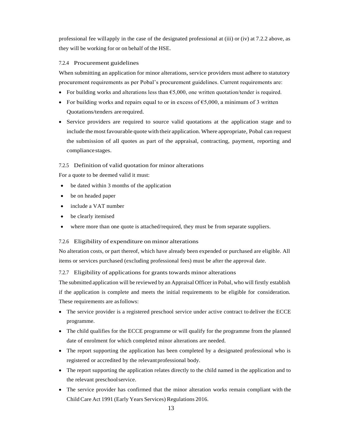professional fee willapply in the case of the designated professional at (iii) or (iv) at 7.2.2 above, as they will be working for or on behalf of the HSE.

### 7.2.4 Procurement guidelines

When submitting an application for minor alterations, service providers must adhere to statutory procurement requirements as per Pobal's procurement guidelines. Current requirements are:

- For building works and alterations less than  $\epsilon$ 5,000, one written quotation/tender is required.
- For building works and repairs equal to or in excess of  $\epsilon$ 5,000, a minimum of 3 written Quotations/tenders are required.
- Service providers are required to source valid quotations at the application stage and to include the most favourable quote with their application. Where appropriate, Pobal can request the submission of all quotes as part of the appraisal, contracting, payment, reporting and compliance stages.

# 7.2.5 Definition of valid quotation for minor alterations

For a quote to be deemed valid it must:

- be dated within 3 months of the application
- be on headed paper
- include a VAT number
- be clearly itemised
- where more than one quote is attached/required, they must be from separate suppliers.

# 7.2.6 Eligibility of expenditure on minor alterations

No alteration costs, or part thereof, which have already been expended or purchased are eligible. All items or services purchased (excluding professional fees) must be after the approval date.

7.2.7 Eligibility of applications for grants towards minor alterations

The submitted application will be reviewed by an Appraisal Officer in Pobal, who will firstly establish if the application is complete and meets the initial requirements to be eligible for consideration. These requirements are asfollows:

- The service provider is a registered preschool service under active contract to deliver the ECCE programme.
- The child qualifies for the ECCE programme or will qualify for the programme from the planned date of enrolment for which completed minor alterations are needed.
- The report supporting the application has been completed by a designated professional who is registered or accredited by the relevantprofessional body.
- The report supporting the application relates directly to the child named in the application and to the relevant preschoolservice.
- The service provider has confirmed that the minor alteration works remain compliant with the Child Care Act 1991 (Early Years Services) Regulations 2016.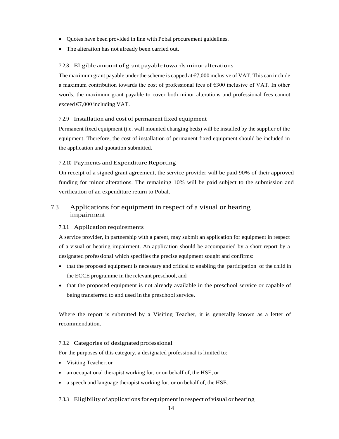- Quotes have been provided in line with Pobal procurement guidelines.
- The alteration has not already been carried out.

#### 7.2.8 Eligible amount of grant payable towards minor alterations

The maximum grant payable under the scheme is capped at  $\epsilon$ 7,000 inclusive of VAT. This can include a maximum contribution towards the cost of professional fees of  $\epsilon$ 300 inclusive of VAT. In other words, the maximum grant payable to cover both minor alterations and professional fees cannot exceed  $\epsilon$ 7,000 including VAT.

#### 7.2.9 Installation and cost of permanent fixed equipment

Permanent fixed equipment (i.e. wall mounted changing beds) will be installed by the supplier of the equipment. Therefore, the cost of installation of permanent fixed equipment should be included in the application and quotation submitted.

#### 7.2.10 Payments and Expenditure Reporting

On receipt of a signed grant agreement, the service provider will be paid 90% of their approved funding for minor alterations. The remaining 10% will be paid subject to the submission and verification of an expenditure return to Pobal.

# <span id="page-17-0"></span>7.3 Applications for equipment in respect of a visual or hearing impairment

#### 7.3.1 Application requirements

A service provider, in partnership with a parent, may submit an application for equipment in respect of a visual or hearing impairment. An application should be accompanied by a short report by a designated professional which specifies the precise equipment sought and confirms:

- that the proposed equipment is necessary and critical to enabling the participation of the child in the ECCE programme in the relevant preschool, and
- that the proposed equipment is not already available in the preschool service or capable of being transferred to and used in the preschool service.

Where the report is submitted by a Visiting Teacher, it is generally known as a letter of recommendation.

#### 7.3.2 Categories of designated professional

For the purposes of this category, a designated professional is limited to:

- Visiting Teacher, or
- an occupational therapist working for, or on behalf of, the HSE, or
- a speech and language therapist working for, or on behalf of, the HSE.

### 7.3.3 Eligibility of applications for equipment in respect of visual or hearing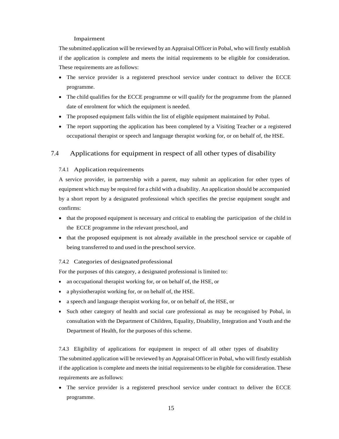#### Impairment

The submitted application will be reviewed by an Appraisal Officer in Pobal, who will firstly establish if the application is complete and meets the initial requirements to be eligible for consideration. These requirements are asfollows:

- The service provider is a registered preschool service under contract to deliver the ECCE programme.
- The child qualifies for the ECCE programme or will qualify for the programme from the planned date of enrolment for which the equipment is needed.
- The proposed equipment falls within the list of eligible equipment maintained by Pobal.
- The report supporting the application has been completed by a Visiting Teacher or a registered occupational therapist or speech and language therapist working for, or on behalf of, the HSE.

# <span id="page-18-0"></span>7.4 Applications for equipment in respect of all other types of disability

#### 7.4.1 Application requirements

A service provider, in partnership with a parent, may submit an application for other types of equipment which may be required for a child with a disability. An application should be accompanied by a short report by a designated professional which specifies the precise equipment sought and confirms:

- that the proposed equipment is necessary and critical to enabling the participation of the child in the ECCE programme in the relevant preschool, and
- that the proposed equipment is not already available in the preschool service or capable of being transferred to and used in the preschool service.

#### 7.4.2 Categories of designated professional

For the purposes of this category, a designated professional is limited to:

- an occupational therapist working for, or on behalf of, the HSE, or
- a physiotherapist working for, or on behalf of, the HSE.
- a speech and language therapist working for, or on behalf of, the HSE, or
- Such other category of health and social care professional as may be recognised by Pobal, in consultation with the Department of Children, Equality, Disability, Integration and Youth and the Department of Health, for the purposes of this scheme.

7.4.3 Eligibility of applications for equipment in respect of all other types of disability The submitted application will be reviewed by an Appraisal Officer in Pobal, who will firstly establish if the application is complete and meets the initial requirements to be eligible for consideration. These requirements are asfollows:

• The service provider is a registered preschool service under contract to deliver the ECCE programme.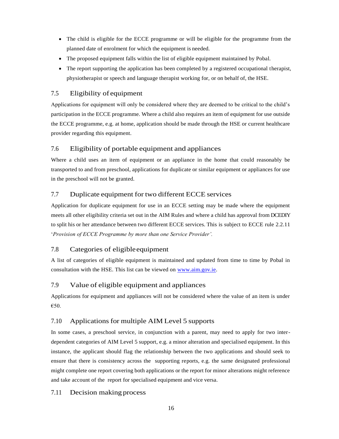- The child is eligible for the ECCE programme or will be eligible for the programme from the planned date of enrolment for which the equipment is needed.
- The proposed equipment falls within the list of eligible equipment maintained by Pobal.
- The report supporting the application has been completed by a registered occupational therapist, physiotherapist or speech and language therapist working for, or on behalf of, the HSE.

# <span id="page-19-0"></span>7.5 Eligibility of equipment

Applications for equipment will only be considered where they are deemed to be critical to the child's participation in the ECCE programme. Where a child also requires an item of equipment for use outside the ECCE programme, e.g. at home, application should be made through the HSE or current healthcare provider regarding this equipment.

# <span id="page-19-1"></span>7.6 Eligibility of portable equipment and appliances

Where a child uses an item of equipment or an appliance in the home that could reasonably be transported to and from preschool, applications for duplicate or similar equipment or appliances for use in the preschool will not be granted.

# <span id="page-19-2"></span>7.7 Duplicate equipment for two different ECCE services

Application for duplicate equipment for use in an ECCE setting may be made where the equipment meets all other eligibility criteria set out in the AIM Rules and where a child has approval from DCEDIY to split his or her attendance between two different ECCE services. This is subject to ECCE rule 2.2.11 '*Provision of ECCE Programme by more than one Service Provider'.*

# <span id="page-19-3"></span>7.8 Categories of eligibleequipment

A list of categories of eligible equipment is maintained and updated from time to time by Pobal in consultation with the HSE. This list can be viewed on [www.aim.gov.ie.](http://www.aim.gov.ie/)

# <span id="page-19-4"></span>7.9 Value of eligible equipment and appliances

Applications for equipment and appliances will not be considered where the value of an item is under €50.

# <span id="page-19-5"></span>7.10 Applications for multiple AIM Level 5 supports

In some cases, a preschool service, in conjunction with a parent, may need to apply for two interdependent categories of AIM Level 5 support, e.g. a minor alteration and specialised equipment. In this instance, the applicant should flag the relationship between the two applications and should seek to ensure that there is consistency across the supporting reports, e.g. the same designated professional might complete one report covering both applications or the report for minor alterations might reference and take account of the report for specialised equipment and vice versa.

# <span id="page-19-6"></span>7.11 Decision making process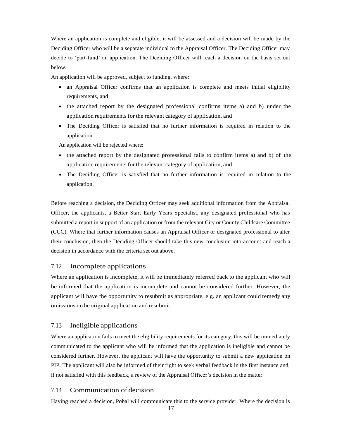Where an application is complete and eligible, it will be assessed and a decision will be made by the Deciding Officer who will be a separate individual to the Appraisal Officer. The Deciding Officer may decide to 'part-fund' an application. The Deciding Officer will reach a decision on the basis set out below.

An application will be approved, subject to funding, where:

- an Appraisal Officer confirms that an application is complete and meets initial eligibility requirements, and
- the attached report by the designated professional confirms items a) and b) under the application requirements for the relevant category of application, and
- The Deciding Officer is satisfied that no further information is required in relation to the application.

An application will be rejected where:

- the attached report by the designated professional fails to confirm items a) and b) of the application requirements for the relevant category of application, and
- The Deciding Officer is satisfied that no further information is required in relation to the application.

Before reaching a decision, the Deciding Officer may seek additional information from the Appraisal Officer, the applicants, a Better Start Early Years Specialist, any designated professional who has submitted a report in support of an application or from the relevant City or County Childcare Committee (CCC). Where that further information causes an Appraisal Officer or designated professional to alter their conclusion, then the Deciding Officer should take this new conclusion into account and reach a decision in accordance with the criteria set out above.

### <span id="page-20-0"></span>7.12 Incomplete applications

Where an application is incomplete, it will be immediately referred back to the applicant who will be informed that the application is incomplete and cannot be considered further. However, the applicant will have the opportunity to resubmit as appropriate, e.g. an applicant could remedy any omissions in the original application and resubmit.

### <span id="page-20-1"></span>7.13 Ineligible applications

Where an application fails to meet the eligibility requirements for its category, this will be immediately communicated to the applicant who will be informed that the application is ineligible and cannot be considered further. However, the applicant will have the opportunity to submit a new application on PIP. The applicant will also be informed of their right to seek verbal feedback in the first instance and, if not satisfied with this feedback, a review of the Appraisal Officer's decision in the matter.

# <span id="page-20-2"></span>7.14 Communication of decision

Having reached a decision, Pobal will communicate this to the service provider. Where the decision is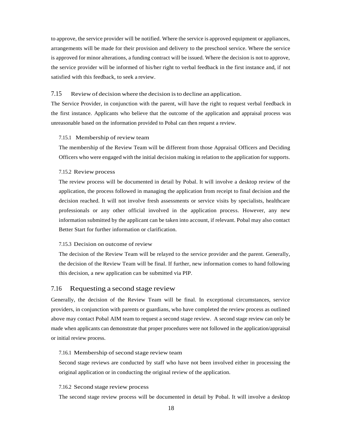to approve, the service provider will be notified. Where the service is approved equipment or appliances, arrangements will be made for their provision and delivery to the preschool service. Where the service is approved for minor alterations, a funding contract will be issued. Where the decision is not to approve, the service provider will be informed of his/her right to verbal feedback in the first instance and, if not satisfied with this feedback, to seek a review.

#### 7.15 Review of decision where the decision isto decline an application.

The Service Provider, in conjunction with the parent, will have the right to request verbal feedback in the first instance. Applicants who believe that the outcome of the application and appraisal process was unreasonable based on the information provided to Pobal can then request a review.

#### 7.15.1 Membership of review team

The membership of the Review Team will be different from those Appraisal Officers and Deciding Officers who were engaged with the initial decision making in relation to the application for supports.

#### 7.15.2 Review process

The review process will be documented in detail by Pobal. It will involve a desktop review of the application, the process followed in managing the application from receipt to final decision and the decision reached. It will not involve fresh assessments or service visits by specialists, healthcare professionals or any other official involved in the application process. However, any new information submitted by the applicant can be taken into account, if relevant. Pobal may also contact Better Start for further information or clarification.

#### 7.15.3 Decision on outcome of review

The decision of the Review Team will be relayed to the service provider and the parent. Generally, the decision of the Review Team will be final. If further, new information comes to hand following this decision, a new application can be submitted via PIP.

### <span id="page-21-0"></span>7.16 Requesting a second stage review

Generally, the decision of the Review Team will be final. In exceptional circumstances, service providers, in conjunction with parents or guardians, who have completed the review process as outlined above may contact Pobal AIM team to request a second stage review. A second stage review can only be made when applicants can demonstrate that proper procedures were not followed in the application/appraisal or initial review process.

#### 7.16.1 Membership of second stage review team

Second stage reviews are conducted by staff who have not been involved either in processing the original application or in conducting the original review of the application.

#### 7.16.2 Second stage review process

The second stage review process will be documented in detail by Pobal. It will involve a desktop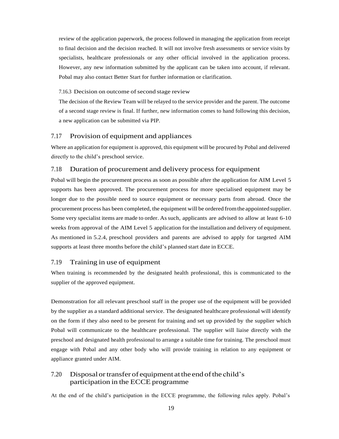review of the application paperwork, the process followed in managing the application from receipt to final decision and the decision reached. It will not involve fresh assessments or service visits by specialists, healthcare professionals or any other official involved in the application process. However, any new information submitted by the applicant can be taken into account, if relevant. Pobal may also contact Better Start for further information or clarification.

#### 7.16.3 Decision on outcome of second stage review

The decision of the Review Team will be relayed to the service provider and the parent. The outcome of a second stage review is final. If further, new information comes to hand following this decision, a new application can be submitted via PIP.

### <span id="page-22-0"></span>7.17 Provision of equipment and appliances

Where an application for equipment is approved, this equipment will be procured by Pobal and delivered directly to the child's preschool service.

### <span id="page-22-1"></span>7.18 Duration of procurement and delivery processfor equipment

Pobal will begin the procurement process as soon as possible after the application for AIM Level 5 supports has been approved. The procurement process for more specialised equipment may be longer due to the possible need to source equipment or necessary parts from abroad. Once the procurement process has been completed, the equipment will be ordered fromthe appointedsupplier. Some very specialist items are made to order. Assuch, applicants are advised to allow at least 6-10 weeks from approval of the AIM Level 5 application for the installation and delivery of equipment. As mentioned in 5.2.4, preschool providers and parents are advised to apply for targeted AIM supports at least three months before the child's planned start date in ECCE.

# <span id="page-22-2"></span>7.19 Training in use of equipment

When training is recommended by the designated health professional, this is communicated to the supplier of the approved equipment.

Demonstration for all relevant preschool staff in the proper use of the equipment will be provided by the supplier as a standard additional service. The designated healthcare professional will identify on the form if they also need to be present for training and set up provided by the supplier which Pobal will communicate to the healthcare professional. The supplier will liaise directly with the preschool and designated health professional to arrange a suitable time for training. The preschool must engage with Pobal and any other body who will provide training in relation to any equipment or appliance granted under AIM.

# <span id="page-22-3"></span>7.20 Disposal or transfer of equipment at the end of the child's participation in the ECCE programme

At the end of the child's participation in the ECCE programme, the following rules apply. Pobal's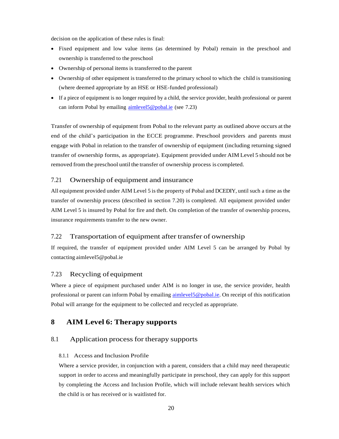decision on the application of these rules is final:

- Fixed equipment and low value items (as determined by Pobal) remain in the preschool and ownership is transferred to the preschool
- Ownership of personal items is transferred to the parent
- Ownership of other equipment is transferred to the primary school to which the child is transitioning (where deemed appropriate by an HSE or HSE-funded professional)
- If a piece of equipment is no longer required by a child, the service provider, health professional or parent can inform Pobal by emailing [aimlevel5@pobal.ie](mailto:aimlevel5@pobal.ie) (see 7.23)

Transfer of ownership of equipment from Pobal to the relevant party as outlined above occurs at the end of the child's participation in the ECCE programme. Preschool providers and parents must engage with Pobal in relation to the transfer of ownership of equipment (including returning signed transfer of ownership forms, as appropriate). Equipment provided under AIM Level 5 should not be removed fromthe preschool until the transfer of ownership process is completed.

# <span id="page-23-0"></span>7.21 Ownership of equipment and insurance

All equipment provided under AIM Level 5 isthe property of Pobal and DCEDIY, until such a time as the transfer of ownership process (described in section 7.20) is completed. All equipment provided under AIM Level 5 is insured by Pobal for fire and theft. On completion of the transfer of ownership process, insurance requirements transfer to the new owner.

# <span id="page-23-1"></span>7.22 Transportation of equipment after transfer of ownership

If required, the transfer of equipment provided under AIM Level 5 can be arranged by Pobal by contacting [aimlevel5@pobal.ie](mailto:aimlevel5@pobal.ie)

# <span id="page-23-2"></span>7.23 Recycling of equipment

Where a piece of equipment purchased under AIM is no longer in use, the service provider, health professional or parent can inform Pobal by emailing aimlevel 5@pobal.ie. On receipt of this notification Pobal will arrange for the equipment to be collected and recycled as appropriate.

# <span id="page-23-3"></span>**8 AIM Level 6: Therapy supports**

### <span id="page-23-4"></span>8.1 Application process for therapy supports

#### 8.1.1 Access and Inclusion Profile

Where a service provider, in conjunction with a parent, considers that a child may need therapeutic support in order to access and meaningfully participate in preschool, they can apply for this support by completing the Access and Inclusion Profile, which will include relevant health services which the child is or has received or is waitlisted for.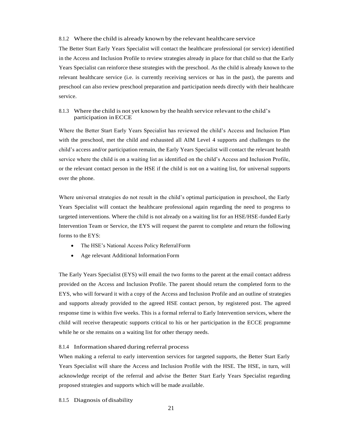#### 8.1.2 Where the child is already known by the relevant healthcare service

The Better Start Early Years Specialist will contact the healthcare professional (or service) identified in the Access and Inclusion Profile to review strategies already in place for that child so that the Early Years Specialist can reinforce these strategies with the preschool. As the child is already known to the relevant healthcare service (i.e. is currently receiving services or has in the past), the parents and preschool can also review preschool preparation and participation needs directly with their healthcare service.

#### 8.1.3 Where the child is not yet known by the health service relevant to the child's participation inECCE

Where the Better Start Early Years Specialist has reviewed the child's Access and Inclusion Plan with the preschool, met the child and exhausted all AIM Level 4 supports and challenges to the child's access and/or participation remain, the Early Years Specialist will contact the relevant health service where the child is on a waiting list as identified on the child's Access and Inclusion Profile, or the relevant contact person in the HSE if the child is not on a waiting list, for universal supports over the phone.

Where universal strategies do not result in the child's optimal participation in preschool, the Early Years Specialist will contact the healthcare professional again regarding the need to progress to targeted interventions. Where the child is not already on a waiting list for an HSE/HSE-funded Early Intervention Team or Service, the EYS will request the parent to complete and return the following forms to the EYS:

- The HSE's National Access Policy ReferralForm
- Age relevant Additional Information Form

The Early Years Specialist (EYS) will email the two forms to the parent at the email contact address provided on the Access and Inclusion Profile. The parent should return the completed form to the EYS, who will forward it with a copy of the Access and Inclusion Profile and an outline of strategies and supports already provided to the agreed HSE contact person, by registered post. The agreed response time is within five weeks. This is a formal referral to Early Intervention services, where the child will receive therapeutic supports critical to his or her participation in the ECCE programme while he or she remains on a waiting list for other therapy needs.

#### 8.1.4 Information shared during referral process

When making a referral to early intervention services for targeted supports, the Better Start Early Years Specialist will share the Access and Inclusion Profile with the HSE. The HSE, in turn, will acknowledge receipt of the referral and advise the Better Start Early Years Specialist regarding proposed strategies and supports which will be made available.

8.1.5 Diagnosis of disability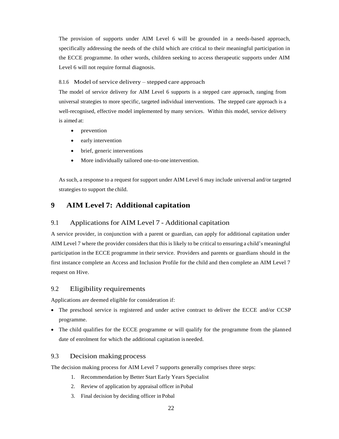The provision of supports under AIM Level 6 will be grounded in a needs-based approach, specifically addressing the needs of the child which are critical to their meaningful participation in the ECCE programme. In other words, children seeking to access therapeutic supports under AIM Level 6 will not require formal diagnosis.

### 8.1.6 Model of service delivery – stepped care approach

The model of service delivery for AIM Level 6 supports is a stepped care approach, ranging from universal strategies to more specific, targeted individual interventions. The stepped care approach is a well-recognised, effective model implemented by many services. Within this model, service delivery is aimed at:

- prevention
- early intervention
- brief, generic interventions
- More individually tailored one-to-one intervention.

As such, a response to a request for support under AIM Level 6 may include universal and/or targeted strategies to support the child.

# <span id="page-25-0"></span>**9 AIM Level 7: Additional capitation**

# <span id="page-25-1"></span>9.1 Applications for AIM Level 7 - Additional capitation

A service provider, in conjunction with a parent or guardian, can apply for additional capitation under AIM Level 7 where the provider considers that this is likely to be critical to ensuring a child's meaningful participation in the ECCE programme in their service. Providers and parents or guardians should in the first instance complete an Access and Inclusion Profile for the child and then complete an AIM Level 7 request on Hive.

# <span id="page-25-2"></span>9.2 Eligibility requirements

Applications are deemed eligible for consideration if:

- The preschool service is registered and under active contract to deliver the ECCE and/or CCSP programme.
- The child qualifies for the ECCE programme or will qualify for the programme from the planned date of enrolment for which the additional capitation is needed.

# <span id="page-25-3"></span>9.3 Decision making process

The decision making process for AIM Level 7 supports generally comprises three steps:

- 1. Recommendation by Better Start Early Years Specialist
- 2. Review of application by appraisal officer inPobal
- 3. Final decision by deciding officer in Pobal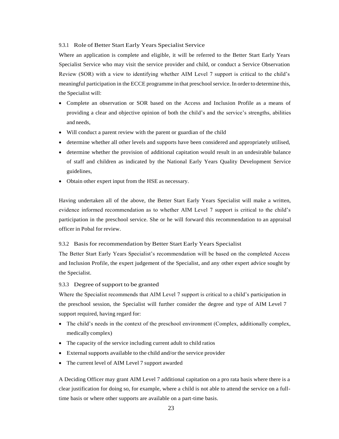#### 9.3.1 Role of Better Start Early Years Specialist Service

Where an application is complete and eligible, it will be referred to the Better Start Early Years Specialist Service who may visit the service provider and child, or conduct a Service Observation Review (SOR) with a view to identifying whether AIM Level 7 support is critical to the child's meaningful participation in the ECCE programme in that preschool service. In order to determine this, the Specialist will:

- Complete an observation or SOR based on the Access and Inclusion Profile as a means of providing a clear and objective opinion of both the child's and the service's strengths, abilities and needs,
- Will conduct a parent review with the parent or guardian of the child
- determine whether all other levels and supports have been considered and appropriately utilised,
- determine whether the provision of additional capitation would result in an undesirable balance of staff and children as indicated by the National Early Years Quality Development Service guidelines,
- Obtain other expert input from the HSE as necessary.

Having undertaken all of the above, the Better Start Early Years Specialist will make a written, evidence informed recommendation as to whether AIM Level 7 support is critical to the child's participation in the preschool service. She or he will forward this recommendation to an appraisal officer in Pobal for review.

#### 9.3.2 Basis for recommendation by Better Start Early Years Specialist

The Better Start Early Years Specialist's recommendation will be based on the completed Access and Inclusion Profile, the expert judgement of the Specialist, and any other expert advice sought by the Specialist.

#### 9.3.3 Degree of support to be granted

Where the Specialist recommends that AIM Level 7 support is critical to a child's participation in the preschool session, the Specialist will further consider the degree and type of AIM Level 7 support required, having regard for:

- The child's needs in the context of the preschool environment (Complex, additionally complex, medically complex)
- The capacity of the service including current adult to child ratios
- Externalsupports available to the child and/or the service provider
- The current level of AIM Level 7 support awarded

A Deciding Officer may grant AIM Level 7 additional capitation on a pro rata basis where there is a clear justification for doing so, for example, where a child is not able to attend the service on a fulltime basis or where other supports are available on a part-time basis.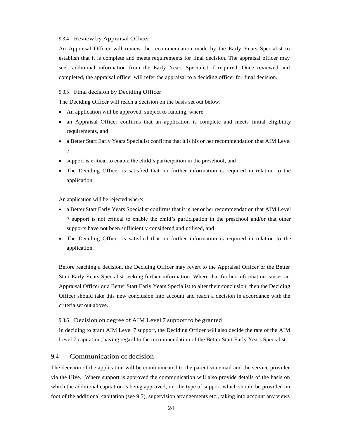#### 9.3.4 Review by Appraisal Officer

An Appraisal Officer will review the recommendation made by the Early Years Specialist to establish that it is complete and meets requirements for final decision. The appraisal officer may seek additional information from the Early Years Specialist if required. Once reviewed and completed, the appraisal officer will refer the appraisal to a deciding officer for final decision.

#### 9.3.5 Final decision by Deciding Officer

The Deciding Officer will reach a decision on the basis set out below.

- An application will be approved, subject to funding, where:
- an Appraisal Officer confirms that an application is complete and meets initial eligibility requirements, and
- a Better Start Early Years Specialist confirms that it is his or her recommendation that AIM Level 7
- support is critical to enable the child's participation in the preschool, and
- The Deciding Officer is satisfied that no further information is required in relation to the application.

An application will be rejected where:

- a Better Start Early Years Specialist confirms that it is her or her recommendation that AIM Level 7 support is not critical to enable the child's participation in the preschool and/or that other supports have not been sufficiently considered and utilised, and
- The Deciding Officer is satisfied that no further information is required in relation to the application.

Before reaching a decision, the Deciding Officer may revert to the Appraisal Officer or the Better Start Early Years Specialist seeking further information. Where that further information causes an Appraisal Officer or a Better Start Early Years Specialist to alter their conclusion, then the Deciding Officer should take this new conclusion into account and reach a decision in accordance with the criteria set out above.

#### 9.3.6 Decision on degree of AIM Level 7 support to be granted

In deciding to grant AIM Level 7 support, the Deciding Officer will also decide the rate of the AIM Level 7 capitation, having regard to the recommendation of the Better Start Early Years Specialist.

# <span id="page-27-0"></span>9.4 Communication of decision

The decision of the application will be communicated to the parent via email and the service provider via the Hive. Where support is approved the communication will also provide details of the basis on which the additional capitation is being approved, i.e. the type of support which should be provided on foot of the additional capitation (see 9.7), supervision arrangements etc., taking into account any views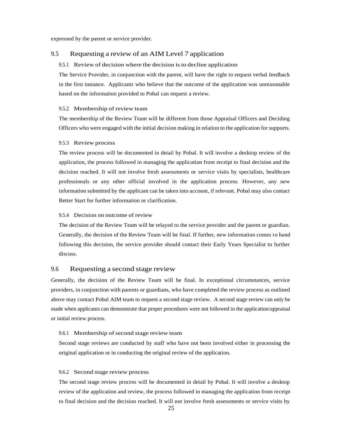expressed by the parent or service provider.

#### <span id="page-28-0"></span>9.5 Requesting a review of an AIM Level 7 application

#### 9.5.1 Review of decision where the decision is to decline application

The Service Provider, in conjunction with the parent, will have the right to request verbal feedback in the first instance. Applicants who believe that the outcome of the application was unreasonable based on the information provided to Pobal can request a review.

#### 9.5.2 Membership of review team

The membership of the Review Team will be different from those Appraisal Officers and Deciding Officers who were engaged with the initial decision making in relation to the application for supports.

#### 9.5.3 Review process

The review process will be documented in detail by Pobal. It will involve a desktop review of the application, the process followed in managing the application from receipt to final decision and the decision reached. It will not involve fresh assessments or service visits by specialists, healthcare professionals or any other official involved in the application process. However, any new information submitted by the applicant can be taken into account, if relevant. Pobal may also contact Better Start for further information or clarification.

#### 9.5.4 Decision on outcome of review

The decision of the Review Team will be relayed to the service provider and the parent or guardian. Generally, the decision of the Review Team will be final. If further, new information comes to hand following this decision, the service provider should contact their Early Years Specialist to further discuss.

### <span id="page-28-1"></span>9.6 Requesting a second stage review

Generally, the decision of the Review Team will be final. In exceptional circumstances, service providers, in conjunction with parents or guardians, who have completed the review process as outlined above may contact Pobal AIM team to request a second stage review. A second stage review can only be made when applicants can demonstrate that proper procedures were not followed in the application/appraisal or initial review process.

#### 9.6.1 Membership of second stage review team

Second stage reviews are conducted by staff who have not been involved either in processing the original application or in conducting the original review of the application.

#### 9.6.2 Second stage review process

The second stage review process will be documented in detail by Pobal. It will involve a desktop review of the application and review, the process followed in managing the application from receipt to final decision and the decision reached. It will not involve fresh assessments or service visits by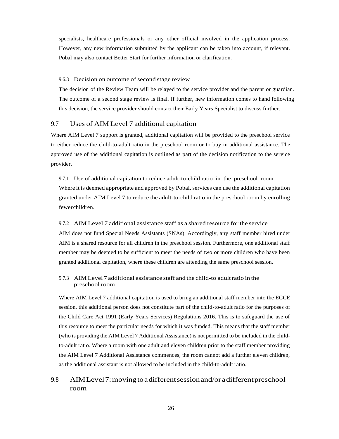specialists, healthcare professionals or any other official involved in the application process. However, any new information submitted by the applicant can be taken into account, if relevant. Pobal may also contact Better Start for further information or clarification.

#### 9.6.3 Decision on outcome of second stage review

The decision of the Review Team will be relayed to the service provider and the parent or guardian. The outcome of a second stage review is final. If further, new information comes to hand following this decision, the service provider should contact their Early Years Specialist to discuss further.

### <span id="page-29-0"></span>9.7 Uses of AIM Level 7 additional capitation

Where AIM Level 7 support is granted, additional capitation will be provided to the preschool service to either reduce the child-to-adult ratio in the preschool room or to buy in additional assistance. The approved use of the additional capitation is outlined as part of the decision notification to the service provider.

9.7.1 Use of additional capitation to reduce adult-to-child ratio in the preschool room Where it is deemed appropriate and approved by Pobal, services can use the additional capitation granted under AIM Level 7 to reduce the adult-to-child ratio in the preschool room by enrolling fewerchildren.

#### 9.7.2 AIM Level 7 additional assistance staff as a shared resource for the service

AIM does not fund Special Needs Assistants (SNAs). Accordingly, any staff member hired under AIM is a shared resource for all children in the preschool session. Furthermore, one additional staff member may be deemed to be sufficient to meet the needs of two or more children who have been granted additional capitation, where these children are attending the same preschool session.

#### 9.7.3 AIM Level 7 additional assistance staff and the child-to adultratio in the preschool room

Where AIM Level 7 additional capitation is used to bring an additional staff member into the ECCE session, this additional person does not constitute part of the child-to-adult ratio for the purposes of the Child Care Act 1991 (Early Years Services) Regulations 2016. This is to safeguard the use of this resource to meet the particular needs for which it was funded. This means that the staff member (who is providing the AIM Level 7 Additional Assistance) is not permitted to be included in the childto-adult ratio. Where a room with one adult and eleven children prior to the staff member providing the AIM Level 7 Additional Assistance commences, the room cannot add a further eleven children, as the additional assistant is not allowed to be included in the child-to-adult ratio.

# <span id="page-29-1"></span>9.8 AIMLevel7:movingtoadifferentsessionand/oradifferentpreschool room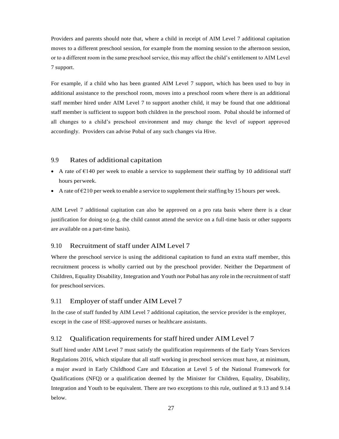Providers and parents should note that, where a child in receipt of AIM Level 7 additional capitation moves to a different preschool session, for example from the morning session to the afternoon session, or to a different room in the same preschool service, this may affect the child's entitlement to AIM Level 7 support.

For example, if a child who has been granted AIM Level 7 support, which has been used to buy in additional assistance to the preschool room, moves into a preschool room where there is an additional staff member hired under AIM Level 7 to support another child, it may be found that one additional staff member is sufficient to support both children in the preschool room. Pobal should be informed of all changes to a child's preschool environment and may change the level of support approved accordingly. Providers can advise Pobal of any such changes via Hive.

# <span id="page-30-0"></span>9.9 Rates of additional capitation

- A rate of  $E$ 140 per week to enable a service to supplement their staffing by 10 additional staff hours perweek.
- A rate of  $\epsilon$ 210 per week to enable a service to supplement their staffing by 15 hours per week.

AIM Level 7 additional capitation can also be approved on a pro rata basis where there is a clear justification for doing so (e.g. the child cannot attend the service on a full-time basis or other supports are available on a part-time basis).

### <span id="page-30-1"></span>9.10 Recruitment of staff under AIM Level 7

Where the preschool service is using the additional capitation to fund an extra staff member, this recruitment process is wholly carried out by the preschool provider. Neither the Department of Children, Equality Disability, Integration and Youth nor Pobal has any role in the recruitment of staff for preschoolservices.

### <span id="page-30-2"></span>9.11 Employer of staff under AIM Level 7

In the case of staff funded by AIM Level 7 additional capitation, the service provider is the employer, except in the case of HSE-approved nurses or healthcare assistants.

### <span id="page-30-3"></span>9.12 Qualification requirements for staff hired under AIM Level 7

Staff hired under AIM Level 7 must satisfy the qualification requirements of the Early Years Services Regulations 2016, which stipulate that all staff working in preschool services must have, at minimum, a major award in Early Childhood Care and Education at Level 5 of the National Framework for Qualifications (NFQ) or a qualification deemed by the Minister for Children, Equality, Disability, Integration and Youth to be equivalent. There are two exceptions to this rule, outlined at 9.13 and 9.14 below.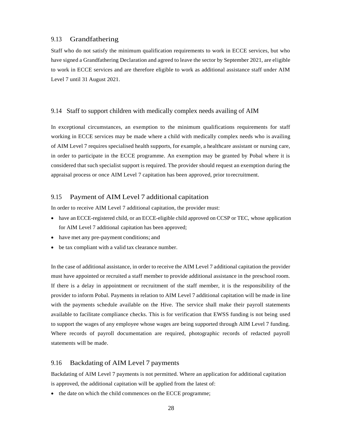# <span id="page-31-0"></span>9.13 Grandfathering

Staff who do not satisfy the minimum qualification requirements to work in ECCE services, but who have signed a Grandfathering Declaration and agreed to leave the sector by September 2021, are eligible to work in ECCE services and are therefore eligible to work as additional assistance staff under AIM Level 7 until 31 August 2021.

# <span id="page-31-1"></span>9.14 Staff to support children with medically complex needs availing of AIM

In exceptional circumstances, an exemption to the minimum qualifications requirements for staff working in ECCE services may be made where a child with medically complex needs who is availing of AIM Level 7 requires specialised health supports, for example, a healthcare assistant or nursing care, in order to participate in the ECCE programme. An exemption may be granted by Pobal where it is considered that such specialist support is required. The provider should request an exemption during the appraisal process or once AIM Level 7 capitation has been approved, prior torecruitment.

# <span id="page-31-2"></span>9.15 Payment of AIM Level 7 additional capitation

In order to receive AIM Level 7 additional capitation, the provider must:

- have an ECCE-registered child, or an ECCE-eligible child approved on CCSP or TEC, whose application for AIM Level 7 additional capitation has been approved;
- have met any pre-payment conditions; and
- be tax compliant with a valid tax clearance number.

In the case of additional assistance, in order to receive the AIM Level 7 additional capitation the provider must have appointed or recruited a staff member to provide additional assistance in the preschool room. If there is a delay in appointment or recruitment of the staff member, it is the responsibility of the provider to inform Pobal. Payments in relation to AIM Level 7 additional capitation will be made in line with the payments schedule available on the Hive. The service shall make their payroll statements available to facilitate compliance checks. This is for verification that EWSS funding is not being used to support the wages of any employee whose wages are being supported through AIM Level 7 funding. Where records of payroll documentation are required, photographic records of redacted payroll statements will be made.

#### <span id="page-31-3"></span>9.16 Backdating of AIM Level 7 payments

Backdating of AIM Level 7 payments is not permitted. Where an application for additional capitation is approved, the additional capitation will be applied from the latest of:

• the date on which the child commences on the ECCE programme;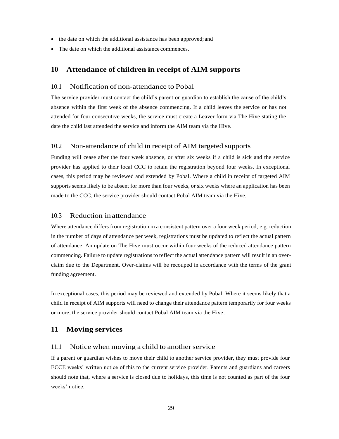- the date on which the additional assistance has been approved; and
- The date on which the additional assistance commences.

# <span id="page-32-0"></span>**10 Attendance of children in receipt of AIM supports**

### <span id="page-32-1"></span>10.1 Notification of non-attendance to Pobal

The service provider must contact the child's parent or guardian to establish the cause of the child's absence within the first week of the absence commencing. If a child leaves the service or has not attended for four consecutive weeks, the service must create a Leaver form via The Hive stating the date the child last attended the service and inform the AIM team via the Hive.

# <span id="page-32-2"></span>10.2 Non-attendance of child in receipt of AIM targeted supports

Funding will cease after the four week absence, or after six weeks if a child is sick and the service provider has applied to their local CCC to retain the registration beyond four weeks. In exceptional cases, this period may be reviewed and extended by Pobal. Where a child in receipt of targeted AIM supports seems likely to be absent for more than four weeks, or six weeks where an application has been made to the CCC, the service provider should contact Pobal AIM team via the Hive.

#### <span id="page-32-3"></span>10.3 Reduction in attendance

Where attendance differs from registration in a consistent pattern over a four week period, e.g. reduction in the number of days of attendance per week, registrations must be updated to reflect the actual pattern of attendance. An update on The Hive must occur within four weeks of the reduced attendance pattern commencing. Failure to update registrations to reflect the actual attendance pattern will result in an overclaim due to the Department. Over-claims will be recouped in accordance with the terms of the grant funding agreement.

In exceptional cases, this period may be reviewed and extended by Pobal. Where it seems likely that a child in receipt of AIM supports will need to change their attendance pattern temporarily for four weeks or more, the service provider should contact Pobal AIM team via the Hive.

# <span id="page-32-4"></span>**11 Moving services**

#### <span id="page-32-5"></span> $11.1$  Notice when moving a child to another service

If a parent or guardian wishes to move their child to another service provider, they must provide four ECCE weeks' written notice of this to the current service provider. Parents and guardians and careers should note that, where a service is closed due to holidays, this time is not counted as part of the four weeks' notice.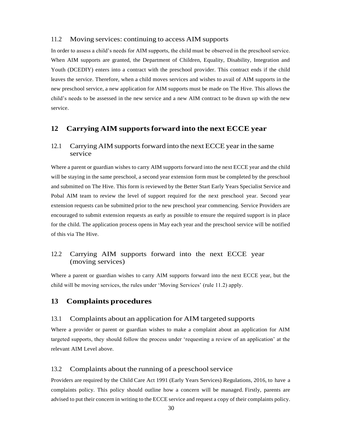### <span id="page-33-0"></span>11.2 Moving services: continuing to access AIM supports

In order to assess a child's needs for AIM supports, the child must be observed in the preschool service. When AIM supports are granted, the Department of Children, Equality, Disability, Integration and Youth (DCEDIY) enters into a contract with the preschool provider. This contract ends if the child leaves the service. Therefore, when a child moves services and wishes to avail of AIM supports in the new preschool service, a new application for AIM supports must be made on The Hive. This allows the child's needs to be assessed in the new service and a new AIM contract to be drawn up with the new service.

# <span id="page-33-1"></span>**12 Carrying AIM supportsforward into the next ECCE year**

# <span id="page-33-2"></span>12.1 Carrying AIM supports forward into the next ECCE year in the same service

Where a parent or guardian wishes to carry AIM supports forward into the next ECCE year and the child will be staying in the same preschool, a second year extension form must be completed by the preschool and submitted on The Hive. This form is reviewed by the Better Start Early Years Specialist Service and Pobal AIM team to review the level of support required for the next preschool year. Second year extension requests can be submitted prior to the new preschool year commencing. Service Providers are encouraged to submit extension requests as early as possible to ensure the required support is in place for the child. The application process opens in May each year and the preschool service will be notified of this via The Hive.

# <span id="page-33-3"></span>12.2 Carrying AIM supports forward into the next ECCE year (moving services)

Where a parent or guardian wishes to carry AIM supports forward into the next ECCE year, but the child will be moving services, the rules under 'Moving Services' (rule 11.2) apply.

# <span id="page-33-4"></span>**13 Complaints procedures**

# <span id="page-33-5"></span>13.1 Complaints about an application for AIM targeted supports

Where a provider or parent or guardian wishes to make a complaint about an application for AIM targeted supports, they should follow the process under 'requesting a review of an application' at the relevant AIM Level above.

# <span id="page-33-6"></span>13.2 Complaints about the running of a preschool service

Providers are required by the Child Care Act 1991 (Early Years Services) Regulations, 2016, to have a complaints policy. This policy should outline how a concern will be managed. Firstly, parents are advised to put their concern in writing to the ECCE service and request a copy of their complaints policy.